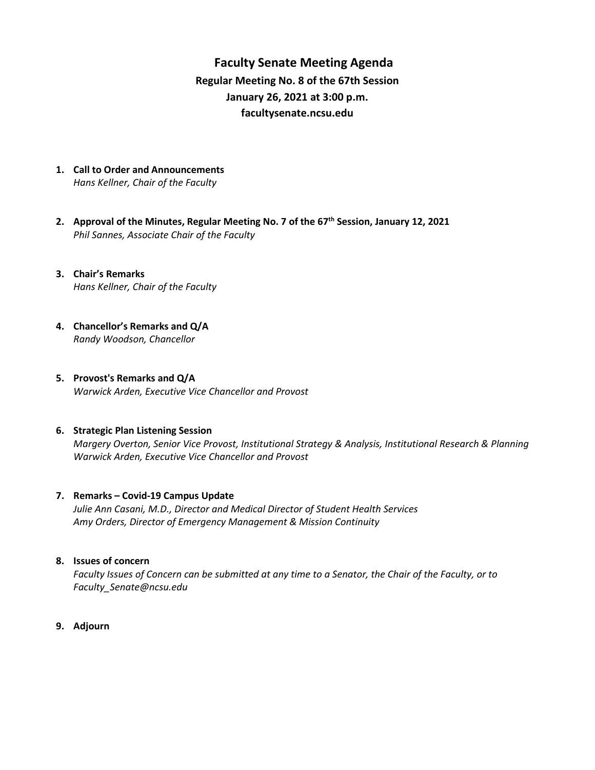# **Faculty Senate Meeting Agenda Regular Meeting No. 8 of the 67th Session January 26, 2021 at 3:00 p.m. [facultysenate.ncsu.edu](https://facultysenate.ncsu.edu/)**

- **1. Call to Order and Announcements** *Hans Kellner, Chair of the Faculty*
- **2. Approval of the Minutes, Regular Meeting No. 7 of the 67th Session, January 12, 2021** *Phil Sannes, Associate Chair of the Faculty*
- **3. Chair's Remarks** *Hans Kellner, Chair of the Faculty*
- **4. Chancellor's Remarks and Q/A** *Randy Woodson, Chancellor*
- **5. Provost's Remarks and Q/A** *Warwick Arden, Executive Vice Chancellor and Provost*

#### **6. Strategic Plan Listening Session**

*Margery Overton, Senior Vice Provost, Institutional Strategy & Analysis, Institutional Research & Planning Warwick Arden, Executive Vice Chancellor and Provost* 

#### **7. Remarks – Covid-19 Campus Update**

*Julie Ann Casani, M.D., Director and Medical Director of Student Health Services Amy Orders, Director of Emergency Management & Mission Continuity* 

### **8. Issues of concern**

*Faculty Issues of Concern can be submitted at any time to a Senator, the Chair of the Faculty, or to [Faculty\\_Senate@ncsu.edu](mailto:Faculty_Senate@ncsu.edu)*

**9. Adjourn**